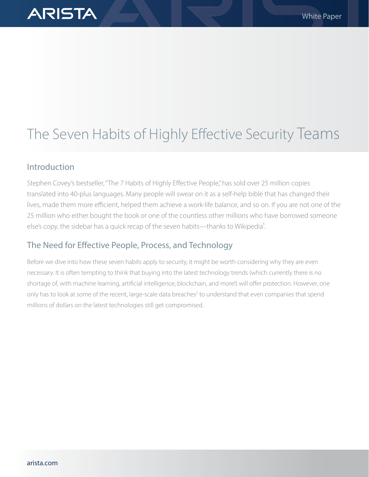# The Seven Habits of Highly Effective Security Teams

### Introduction

**ARISTA** 

Stephen Covey's bestseller, "The 7 Habits of Highly Effective People," has sold over 25 million copies translated into 40-plus languages. Many people will swear on it as a self-help bible that has changed their lives, made them more efficient, helped them achieve a work-life balance, and so on. If you are not one of the 25 million who either bought the book or one of the countless other millions who have borrowed someone else's copy, the sidebar has a quick recap of the seven habits—thanks to Wikipedia<sup>1</sup>.

### The Need for Effective People, Process, and Technology

Before we dive into how these seven habits apply to security, it might be worth considering why they are even necessary. It is often tempting to think that buying into the latest technology trends (which currently there is no shortage of, with machine learning, artificial intelligence, blockchain, and more!) will offer protection. However, one only has to look at some of the recent, large-scale data breaches<sup>2</sup> to understand that even companies that spend millions of dollars on the latest technologies still get compromised.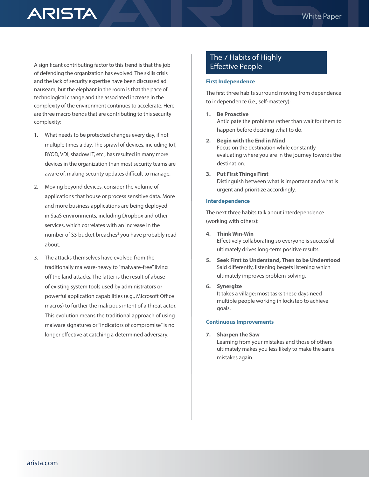**ARISTA** 

A significant contributing factor to this trend is that the job of defending the organization has evolved. The skills crisis and the lack of security expertise have been discussed ad nauseam, but the elephant in the room is that the pace of technological change and the associated increase in the complexity of the environment continues to accelerate. Here are three macro trends that are contributing to this security complexity:

- 1. What needs to be protected changes every day, if not multiple times a day. The sprawl of devices, including IoT, BYOD, VDI, shadow IT, etc., has resulted in many more devices in the organization than most security teams are aware of, making security updates difficult to manage.
- 2. Moving beyond devices, consider the volume of applications that house or process sensitive data. More and more business applications are being deployed in SaaS environments, including Dropbox and other services, which correlates with an increase in the number of S3 bucket breaches<sup>3</sup> you have probably read about.
- 3. The attacks themselves have evolved from the traditionally malware-heavy to "malware-free" living off the land attacks. The latter is the result of abuse of existing system tools used by administrators or powerful application capabilities (e.g., Microsoft Office macros) to further the malicious intent of a threat actor. This evolution means the traditional approach of using malware signatures or "indicators of compromise" is no longer effective at catching a determined adversary.

### The 7 Habits of Highly Effective People

#### **First Independence**

The first three habits surround moving from dependence to independence (i.e., self-mastery):

**1. Be Proactive**

Anticipate the problems rather than wait for them to happen before deciding what to do.

- **2. Begin with the End in Mind** Focus on the destination while constantly evaluating where you are in the journey towards the destination.
- **3. Put First Things First**

Distinguish between what is important and what is urgent and prioritize accordingly.

#### **Interdependence**

The next three habits talk about interdependence (working with others):

**4. Think Win-Win**

Effectively collaborating so everyone is successful ultimately drives long-term positive results.

**5. Seek First to Understand, Then to be Understood** Said differently, listening begets listening which ultimately improves problem-solving.

#### **6. Synergize**

It takes a village; most tasks these days need multiple people working in lockstep to achieve goals.

#### **Continuous Improvements**

**7. Sharpen the Saw**

Learning from your mistakes and those of others ultimately makes you less likely to make the same mistakes again.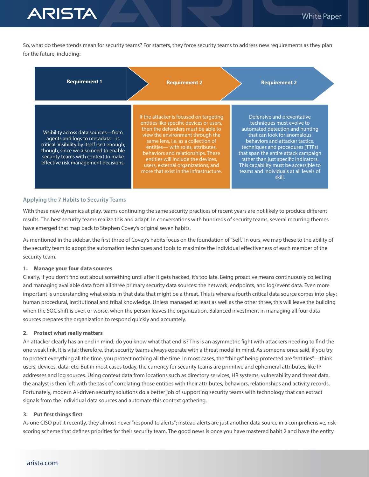So, what do these trends mean for security teams? For starters, they force security teams to address new requirements as they plan for the future, including:

| <b>Requirement 1</b>                                                                                                                                                                                                                         | <b>Requirement 2</b>                                                                                                                                                                                                                                                                                                                                                                                | <b>Requirement 2</b>                                                                                                                                                                                                                                                                                                                                                           |
|----------------------------------------------------------------------------------------------------------------------------------------------------------------------------------------------------------------------------------------------|-----------------------------------------------------------------------------------------------------------------------------------------------------------------------------------------------------------------------------------------------------------------------------------------------------------------------------------------------------------------------------------------------------|--------------------------------------------------------------------------------------------------------------------------------------------------------------------------------------------------------------------------------------------------------------------------------------------------------------------------------------------------------------------------------|
| Visibility across data sources-from<br>agents and logs to metadata-is<br>critical. Visibility by itself isn't enough,<br>though, since we also need to enable<br>security teams with context to make<br>effective risk management decisions. | If the attacker is focused on targeting<br>entities like specific devices or users,<br>then the defenders must be able to<br>view the environment through the<br>same lens, i.e. as a collection of<br>entities-with roles, attributes,<br>behaviors and relationships. These<br>entities will include the devices.<br>users, external organizations, and<br>more that exist in the infrastructure. | Defensive and preventative<br>techniques must evolve to<br>automated detection and hunting<br>that can look for anomalous<br>behaviors and attacker tactics.<br>techniques and procedures (TTPs)<br>that span the entire attack campaign<br>rather than just specific indicators.<br>This capability must be accessible to<br>teams and individuals at all levels of<br>skill. |

#### **Applying the 7 Habits to Security Teams**

**ARISTA** 

With these new dynamics at play, teams continuing the same security practices of recent years are not likely to produce different results. The best security teams realize this and adapt. In conversations with hundreds of security teams, several recurring themes have emerged that map back to Stephen Covey's original seven habits.

As mentioned in the sidebar, the first three of Covey's habits focus on the foundation of "Self." In ours, we map these to the ability of the security team to adopt the automation techniques and tools to maximize the individual effectiveness of each member of the security team.

#### **1. Manage your four data sources**

Clearly, if you don't find out about something until after it gets hacked, it's too late. Being proactive means continuously collecting and managing available data from all three primary security data sources: the network, endpoints, and log/event data. Even more important is understanding what exists in that data that might be a threat. This is where a fourth critical data source comes into play: human procedural, institutional and tribal knowledge. Unless managed at least as well as the other three, this will leave the building when the SOC shift is over, or worse, when the person leaves the organization. Balanced investment in managing all four data sources prepares the organization to respond quickly and accurately.

#### **2. Protect what really matters**

An attacker clearly has an end in mind; do you know what that end is? This is an asymmetric fight with attackers needing to find the one weak link. It is vital; therefore, that security teams always operate with a threat model in mind. As someone once said, if you try to protect everything all the time, you protect nothing all the time. In most cases, the "things" being protected are "entities"—think users, devices, data, etc. But in most cases today, the currency for security teams are primitive and ephemeral attributes, like IP addresses and log sources. Using context data from locations such as directory services, HR systems, vulnerability and threat data, the analyst is then left with the task of correlating those entities with their attributes, behaviors, relationships and activity records. Fortunately, modern AI-driven security solutions do a better job of supporting security teams with technology that can extract signals from the individual data sources and automate this context gathering.

#### **3. Put first things first**

As one CISO put it recently, they almost never "respond to alerts"; instead alerts are just another data source in a comprehensive, riskscoring scheme that defines priorities for their security team. The good news is once you have mastered habit 2 and have the entity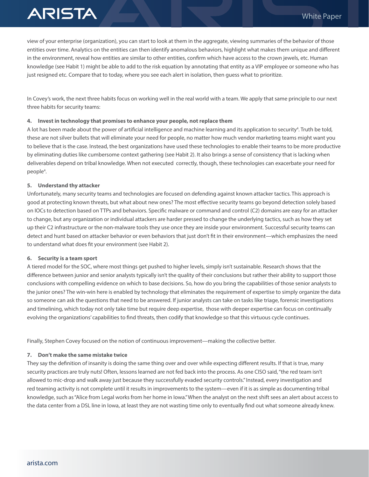# **ARISTA**

view of your enterprise (organization), you can start to look at them in the aggregate, viewing summaries of the behavior of those entities over time. Analytics on the entities can then identify anomalous behaviors, highlight what makes them unique and different in the environment, reveal how entities are similar to other entities, confirm which have access to the crown jewels, etc. Human knowledge (see Habit 1) might be able to add to the risk equation by annotating that entity as a VIP employee or someone who has just resigned etc. Compare that to today, where you see each alert in isolation, then guess what to prioritize.

In Covey's work, the next three habits focus on working well in the real world with a team. We apply that same principle to our next three habits for security teams:

#### **4. Invest in technology that promises to enhance your people, not replace them**

A lot has been made about the power of artificial intelligence and machine learning and its application to security<sup>4</sup>. Truth be told, these are not silver bullets that will eliminate your need for people, no matter how much vendor marketing teams might want you to believe that is the case. Instead, the best organizations have used these technologies to enable their teams to be more productive by eliminating duties like cumbersome context gathering (see Habit 2). It also brings a sense of consistency that is lacking when deliverables depend on tribal knowledge. When not executed correctly, though, these technologies can exacerbate your need for people4 .

#### **5. Understand thy attacker**

Unfortunately, many security teams and technologies are focused on defending against known attacker tactics. This approach is good at protecting known threats, but what about new ones? The most effective security teams go beyond detection solely based on IOCs to detection based on TTPs and behaviors. Specific malware or command and control (C2) domains are easy for an attacker to change, but any organization or individual attackers are harder pressed to change the underlying tactics, such as how they set up their C2 infrastructure or the non-malware tools they use once they are inside your environment. Successful security teams can detect and hunt based on attacker behavior or even behaviors that just don't fit in their environment—which emphasizes the need to understand what does fit your environment (see Habit 2).

#### **6. Security is a team sport**

A tiered model for the SOC, where most things get pushed to higher levels, simply isn't sustainable. Research shows that the difference between junior and senior analysts typically isn't the quality of their conclusions but rather their ability to support those conclusions with compelling evidence on which to base decisions. So, how do you bring the capabilities of those senior analysts to the junior ones? The win-win here is enabled by technology that eliminates the requirement of expertise to simply organize the data so someone can ask the questions that need to be answered. If junior analysts can take on tasks like triage, forensic investigations and timelining, which today not only take time but require deep expertise, those with deeper expertise can focus on continually evolving the organizations' capabilities to find threats, then codify that knowledge so that this virtuous cycle continues.

Finally, Stephen Covey focused on the notion of continuous improvement—making the collective better.

#### **7. Don't make the same mistake twice**

They say the definition of insanity is doing the same thing over and over while expecting different results. If that is true, many security practices are truly nuts! Often, lessons learned are not fed back into the process. As one CISO said, "the red team isn't allowed to mic-drop and walk away just because they successfully evaded security controls." Instead, every investigation and red teaming activity is not complete until it results in improvements to the system—even if it is as simple as documenting tribal knowledge, such as "Alice from Legal works from her home in Iowa." When the analyst on the next shift sees an alert about access to the data center from a DSL line in Iowa, at least they are not wasting time only to eventually find out what someone already knew.